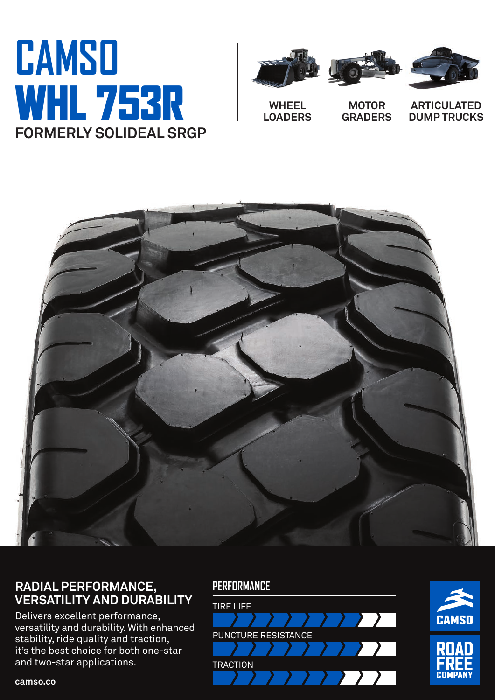# **CAMSO**  WHL 753R **FORMERLY SOLIDEAL SRGP**







**WHEEL LOADERS**

**MOTOR GRADERS**

**ARTICULATED DUMP TRUCKS**



## **RADIAL PERFORMANCE, VERSATILITY AND DURABILITY**

Delivers excellent performance, versatility and durability. With enhanced stability, ride quality and traction, it's the best choice for both one-star and two-star applications.





**camso.co**